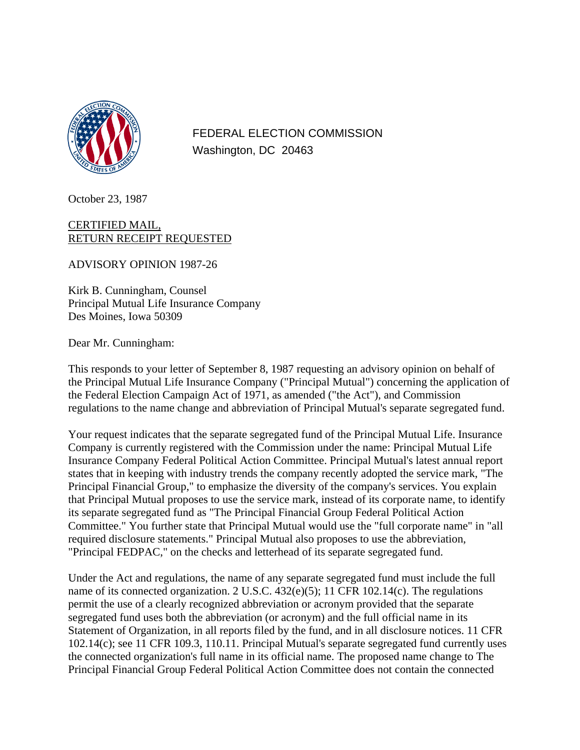

FEDERAL ELECTION COMMISSION Washington, DC 20463

October 23, 1987

## CERTIFIED MAIL, RETURN RECEIPT REQUESTED

ADVISORY OPINION 1987-26

Kirk B. Cunningham, Counsel Principal Mutual Life Insurance Company Des Moines, Iowa 50309

Dear Mr. Cunningham:

This responds to your letter of September 8, 1987 requesting an advisory opinion on behalf of the Principal Mutual Life Insurance Company ("Principal Mutual") concerning the application of the Federal Election Campaign Act of 1971, as amended ("the Act"), and Commission regulations to the name change and abbreviation of Principal Mutual's separate segregated fund.

Your request indicates that the separate segregated fund of the Principal Mutual Life. Insurance Company is currently registered with the Commission under the name: Principal Mutual Life Insurance Company Federal Political Action Committee. Principal Mutual's latest annual report states that in keeping with industry trends the company recently adopted the service mark, "The Principal Financial Group," to emphasize the diversity of the company's services. You explain that Principal Mutual proposes to use the service mark, instead of its corporate name, to identify its separate segregated fund as "The Principal Financial Group Federal Political Action Committee." You further state that Principal Mutual would use the "full corporate name" in "all required disclosure statements." Principal Mutual also proposes to use the abbreviation, "Principal FEDPAC," on the checks and letterhead of its separate segregated fund.

Under the Act and regulations, the name of any separate segregated fund must include the full name of its connected organization. 2 U.S.C. 432(e)(5); 11 CFR 102.14(c). The regulations permit the use of a clearly recognized abbreviation or acronym provided that the separate segregated fund uses both the abbreviation (or acronym) and the full official name in its Statement of Organization, in all reports filed by the fund, and in all disclosure notices. 11 CFR 102.14(c); see 11 CFR 109.3, 110.11. Principal Mutual's separate segregated fund currently uses the connected organization's full name in its official name. The proposed name change to The Principal Financial Group Federal Political Action Committee does not contain the connected